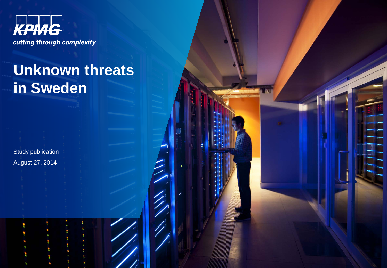

# **Unknown threats in Sweden**

Study publication August 27, 2014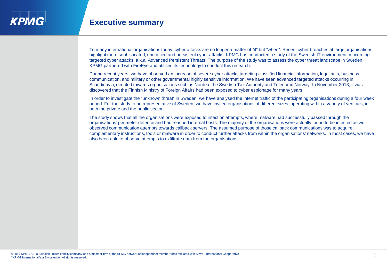### **Executive summary**

To many international organisations today, cyber attacks are no longer a matter of "if" but "when". Recent cyber breaches at large organisations highlight more sophisticated, unnoticed and persistent cyber attacks. KPMG has conducted a study of the Swedish IT environment concerning targeted cyber attacks, a.k.a. Advanced Persistent Threats. The purpose of the study was to assess the cyber threat landscape in Sweden. KPMG partnered with FireEye and utilised its technology to conduct this research.

During recent years, we have observed an increase of severe cyber attacks targeting classified financial information, legal acts, business communication, and military or other governmental highly sensitive information. We have seen advanced targeted attacks occurring in Scandinavia, directed towards organisations such as Nordea, the Swedish Tax Authority and Telenor in Norway. In November 2013, it was discovered that the Finnish Ministry of Foreign Affairs had been exposed to cyber espionage for many years.

In order to investigate the "unknown threat" in Sweden, we have analysed the internet traffic of the participating organisations during a four week period. For the study to be representative of Sweden, we have invited organisations of different sizes, operating within a variety of verticals, in both the private and the public sector.

The study shows that all the organisations were exposed to infection attempts, where malware had successfully passed through the organisations' perimeter defence and had reached internal hosts. The majority of the organisations were actually found to be infected as we observed communication attempts towards callback servers. The assumed purpose of those callback communications was to acquire complementary instructions, tools or malware in order to conduct further attacks from within the organisations' networks. In most cases, we have also been able to observe attempts to exfiltrate data from the organisations.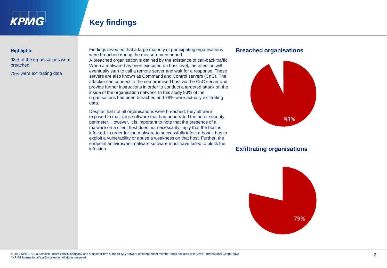

## **Key findings**

#### **Highlights**

93% of the organisations were breached

79% were exfiltrating data

Findings revealed that a large majority of participating organisations were breached during the measurement period.

A breached organisation is defined by the existence of call-back traffic. When a malware has been executed on host level, the infection will eventually start to call a remote server and wait for a response. These servers are also known as Command and Control servers (CnC). The attacker can connect to the compromised host via the CnC server and provide further instructions in order to conduct a targeted attack on the inside of the organisation network. In this study 93% of the organisations had been breached and 79% were actually exfiltrating data.

Despite that not all organisations were breached, they all were exposed to malicious software that had penetrated the outer security perimeter. However, it is important to note that the presence of a malware on a client host does not necessarily imply that the host is infected. In order for the malware to successfully infect a host it has to exploit a vulnerability or abuse a weakness on that host. Further, the endpoint antivirus/antimalware software must have failed to block the infection.

#### **Breached organisations**



### **Exfiltrating organisations**

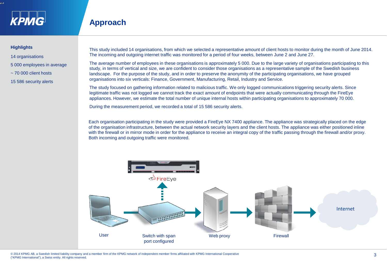

### **Approach**

#### **Highlights**

- 14 organisations
- 5 000 employees in average
- $\sim$  70 000 client hosts
- 15 586 security alerts

This study included 14 organisations, from which we selected a representative amount of client hosts to monitor during the month of June 2014. The incoming and outgoing internet traffic was monitored for a period of four weeks, between June 2 and June 27.

The average number of employees in these organisations is approximately 5 000. Due to the large variety of organisations participating to this study, in terms of vertical and size, we are confident to consider those organisations as a representative sample of the Swedish business landscape. For the purpose of the study, and in order to preserve the anonymity of the participating organisations, we have grouped organisations into six verticals: Finance, Government, Manufacturing, Retail, Industry and Service.

The study focused on gathering information related to malicious traffic. We only logged communications triggering security alerts. Since legitimate traffic was not logged we cannot track the exact amount of endpoints that were actually communicating through the FireEye appliances. However, we estimate the total number of unique internal hosts within participating organisations to approximately 70 000.

During the measurement period, we recorded a total of 15 586 security alerts.

Each organisation participating in the study were provided a FireEye NX 7400 appliance. The appliance was strategically placed on the edge of the organisation infrastructure, between the actual network security layers and the client hosts. The appliance was either positioned inline with the firewall or in mirror mode in order for the appliance to receive an integral copy of the traffic passing through the firewall and/or proxy. Both incoming and outgoing traffic were monitored.

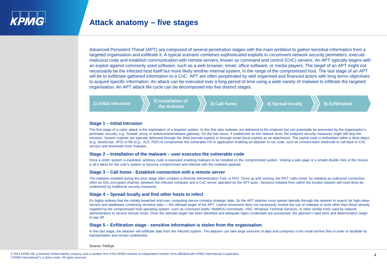### **Attack anatomy – five stages**

Advanced Persistent Threat (APT) are composed of several penetration stages with the main ambition to gather sensitive information from a targeted organisation and exfiltrate it. A typical scenario combines sophisticated exploits to circumvent network security perimeters, execute malicious code and establish communication with remote servers, known as command and control (CnC) servers. An APT typically begins with an exploit against commonly used software, such as a web browser, email, office software, or media players. The target of an APT might not necessarily be the infected host itself but more likely another internal system, in the range of the compromised host. The last stage of an APT will be to exfiltrtate gathered information to a CnC. APT are often perpetrated by well organised and financed actors with long terms objectives to acquire specific information. An attack can be executed over a long period of time using a wide variety of malware to infiltrate the targeted organisation. An APT attack life cycle can be decomposed into five distinct stages.



#### **Stage 1 – Initial Intrusion**

The first stage of a cyber attack is the exploitation of a targeted system. In this first step malware are delivered to the endpoint but can potentially be prevented by the organisation's perimeter security, e.g., firewall, proxy or antivirus/antimalware gateway. On the last resort, if undetected on the network level, the endpoint security measures might still stop the intrusion. System exploits are typically delivered through the Web (remote exploit) or through email (local exploit) as an attachment. The exploit code is embedded within a Web object (e.g. JavaScript, JPG) or file (e.g., XLS, PDF) to compromise the vulnerable OS or application enabling an attacker to run code, such as connect-back shellcode to call back to CnC servers and download more malware.

#### **Stage 2 – Installation of the malware – user executes the vulnerable code**

Once a victim system is exploited, arbitrary code is executed enabling malware to be installed on the compromised system. Visiting a web page or a simple double click of the mouse is all it takes for the user's system to become compromised and infected with the malware payload.

#### **Stage 3 – Call home - Establish connection with a remote server**

The malware installed during the prior stage often contains a Remote Administration Tool, or RAT. Once up and running, the RAT "calls home" by initiating an outbound connection, often an SSL-encrypted channel, between the infected computer and a CnC server operated by the APT actor. Sessions initiated from within the trusted network will most likely be undetected by traditional security measures.

#### **Stage 4 – Spread locally and find other hosts to infect**

It's highly unlikely that the initially breached end-user computing device contains strategic data. So the APT attacker must spread laterally through the network to search for high-value servers and databases containing sensitive data — the ultimate target of the APT. Lateral movement does not necessarily involve the use of malware or tools other than those already supplied by the compromised host operating system, such as command shells, NetBIOS commands, VNC, Windows Terminal Services, or other similar tools used by network administrators to service remote hosts. Once the ultimate target has been identified and adequate logon credentials are possessed, the attacker's hard work and determination begin to pay off.

#### **Stage 5 – Exfiltration stage - sensitive information is stolen from the organisation**

In this last stage, the attacker will exfiltrate data from the infected system. The attacker can take large amounts of data and compress it into small archive files in order to facilitate its transportation and remain undetected.

Source: FireEye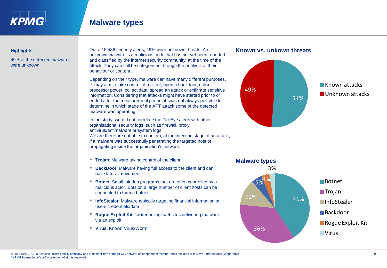

#### **Highlights**

49% of the detected malwares were unknown

Out of15 586 security alerts, 49% were unknown threats. An unknown malware is a malicious code that has not yet been reported and classified by the internet security community, at the time of the attack. They can still be categorised through the analysis of their behaviour or content.

Depending on their type, malware can have many different purposes. It may aim to take control of a client, open a backdoor, utilise processor power, collect data, spread an attack or exfiltrate sensitive information. Considering that attacks might have started prior to or ended after the measurement period, it was not always possible to determine in which stage of the APT attack some of the detected malware was operating.

In the study, we did not correlate the FireEye alerts with other organisational security logs, such as firewall, proxy, antivirus/antimalware or system logs. We are therefore not able to confirm, at the infection stage of an attack, if a malware was successfully penetrating the targeted host or propagating inside the organisation's network.

- **Trojan:** Malware taking control of the client
- **BackDoor**: Malware having full access to the client and can have lateral movement
- **Botnet:** Small, hidden programs that are often controlled by a malicious actor. Bots on a large number of client hosts can be connected to form a botnet.
- **InfoStealer:** Malware typically targeting financial information or users credentials/data
- **Roque Exploit Kit:** "water holing" websites delivering malware via an exploit
- **Virus**: Known Virus/Worm





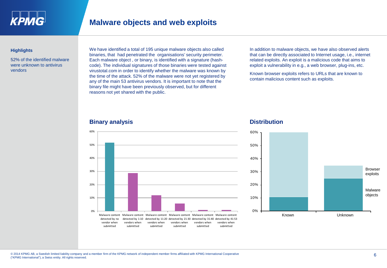

#### **Highlights**

52% of the identified malware were unknown to antivirus vendors

We have identified a total of 195 unique malware objects also called binaries, that had penetrated the organisations' security perimeter. Each malware object , or binary, is identified with a signature (hashcode). The individual signatures of those binaries were tested against virustotal.com in order to identify whether the malware was known by the time of the attack. 52% of the malware were not yet registered by any of the main 53 antivirus vendors. It is important to note that the binary file might have been previously observed, but for different reasons not yet shared with the public.

In addition to malware objects, we have also observed alerts that can be directly associated to Internet usage, i.e., internet related exploits. An exploit is a malicious code that aims to exploit a vulnerability in e.g., a web browser, plug-ins, etc.

Known browser exploits refers to URLs that are known to contain malicious content such as exploits.

#### **Binary analysis Distribution**



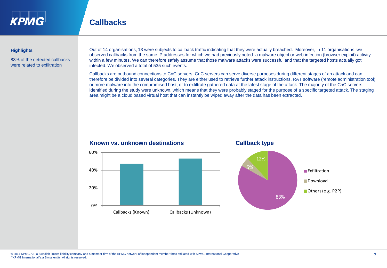

### **Callbacks**

#### **Highlights**

83% of the detected callbacks were related to exfiltration

Out of 14 organisations, 13 were subjects to callback traffic indicating that they were actually breached. Moreover, in 11 organisations, we observed callbacks from the same IP addresses for which we had previously noted a malware object or web infection (browser exploit) activity within a few minutes. We can therefore safely assume that those malware attacks were successful and that the targeted hosts actually got infected. We observed a total of 535 such events.

Callbacks are outbound connections to CnC servers. CnC servers can serve diverse purposes during different stages of an attack and can therefore be divided into several categories. They are either used to retrieve further attack instructions, RAT software (remote administration tool) or more malware into the compromised host, or to exfiltrate gathered data at the latest stage of the attack. The majority of the CnC servers identified during the study were unknown, which means that they were probably staged for the purpose of a specific targeted attack. The staging area might be a cloud based virtual host that can instantly be wiped away after the data has been extracted.



#### **Known vs. unknown destinations Callback type**



#### © 2014 KPMG AB, a Swedish limited liability company and a member firm of the KPMG network of independent member firms affiliated with KPMG International Cooperative<br>
7 ("KPMG International"), a Swiss entity. All rights reserved.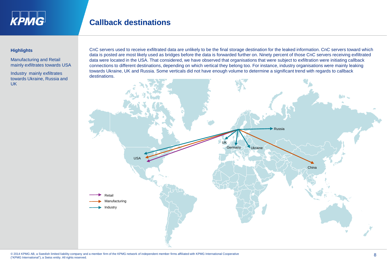

### **Callback destinations**

#### **Highlights**

Manufacturing and Retail mainly exfiltrates towards USA

Industry mainly exfiltrates towards Ukraine, Russia and UK

CnC servers used to receive exfiltrated data are unlikely to be the final storage destination for the leaked information. CnC servers toward which data is posted are most likely used as bridges before the data is forwarded further on. Ninety percent of those CnC servers receiving exfiltrated data were located in the USA. That considered, we have observed that organisations that were subject to exfiltration were initiating callback connections to different destinations, depending on which vertical they belong too. For instance, industry organisations were mainly leaking towards Ukraine, UK and Russia. Some verticals did not have enough volume to determine a significant trend with regards to callback destinations.

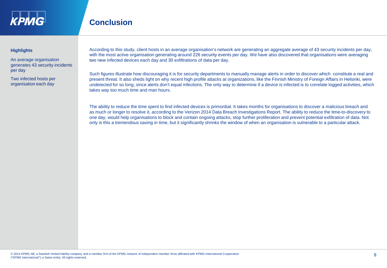

### **Conclusion**

#### **Highlights**

An average organisation generates 43 security incidents per day

Two infected hosts per organisation each day

According to this study, client hosts in an average organisation's network are generating an aggregate average of 43 security incidents per day, with the most active organisation generating around 226 security events per day. We have also discovered that organisations were averaging two new infected devices each day and 30 exfiltrations of data per day.

Such figures illustrate how discouraging it is for security departments to manually manage alerts in order to discover which constitute a real and present threat. It also sheds light on why recent high profile attacks at organizations, like the Finnish Ministry of Foreign Affairs in Helsinki, were undetected for so long, since alerts don't equal infections. The only way to determine if a device is infected is to correlate logged activities, which takes way too much time and man hours.

The ability to reduce the time spent to find infected devices is primordial. It takes months for organisations to discover a malicious breach and as much or longer to resolve it, according to the Verizon 2014 Data Breach Investigations Report. The ability to reduce the time-to-discovery to one day, would help organisations to block and contain ongoing attacks, stop further proliferation and prevent potential exfiltration of data. Not only is this a tremendous saving in time, but it significantly shrinks the window of when an organisation is vulnerable to a particular attack.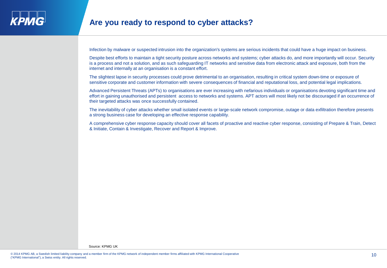

Infection by malware or suspected intrusion into the organization's systems are serious incidents that could have a huge impact on business.

Despite best efforts to maintain a tight security posture across networks and systems; cyber attacks do, and more importantly will occur. Security is a process and not a solution, and as such safeguarding IT networks and sensitive data from electronic attack and exposure, both from the internet and internally at an organisation is a constant effort.

The slightest lapse in security processes could prove detrimental to an organisation, resulting in critical system down-time or exposure of sensitive corporate and customer information with severe consequences of financial and reputational loss, and potential legal implications.

Advanced Persistent Threats (APTs) to organisations are ever increasing with nefarious individuals or organisations devoting significant time and effort in gaining unauthorised and persistent access to networks and systems. APT actors will most likely not be discouraged if an occurrence of their targeted attacks was once successfully contained.

The inevitability of cyber attacks whether small isolated events or large-scale network compromise, outage or data exfiltration therefore presents a strong business case for developing an effective response capability.

A comprehensive cyber response capacity should cover all facets of proactive and reactive cyber response, consisting of Prepare & Train, Detect & Initiate, Contain & Investigate, Recover and Report & Improve.